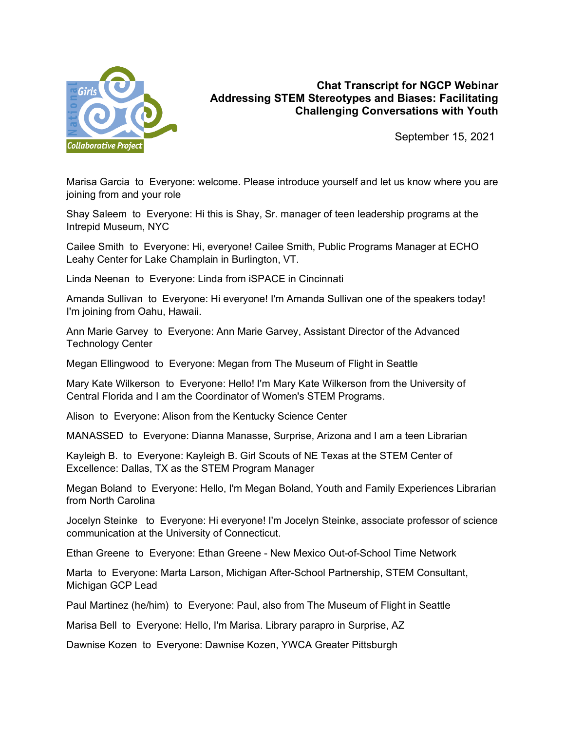

## **Chat Transcript for NGCP Webinar Addressing STEM Stereotypes and Biases: Facilitating Challenging Conversations with Youth**

September 15, 2021

Marisa Garcia to Everyone: welcome. Please introduce yourself and let us know where you are joining from and your role

Shay Saleem to Everyone: Hi this is Shay, Sr. manager of teen leadership programs at the Intrepid Museum, NYC

Cailee Smith to Everyone: Hi, everyone! Cailee Smith, Public Programs Manager at ECHO Leahy Center for Lake Champlain in Burlington, VT.

Linda Neenan to Everyone: Linda from iSPACE in Cincinnati

Amanda Sullivan to Everyone: Hi everyone! I'm Amanda Sullivan one of the speakers today! I'm joining from Oahu, Hawaii.

Ann Marie Garvey to Everyone: Ann Marie Garvey, Assistant Director of the Advanced Technology Center

Megan Ellingwood to Everyone: Megan from The Museum of Flight in Seattle

Mary Kate Wilkerson to Everyone: Hello! I'm Mary Kate Wilkerson from the University of Central Florida and I am the Coordinator of Women's STEM Programs.

Alison to Everyone: Alison from the Kentucky Science Center

MANASSED to Everyone: Dianna Manasse, Surprise, Arizona and I am a teen Librarian

Kayleigh B. to Everyone: Kayleigh B. Girl Scouts of NE Texas at the STEM Center of Excellence: Dallas, TX as the STEM Program Manager

Megan Boland to Everyone: Hello, I'm Megan Boland, Youth and Family Experiences Librarian from North Carolina

Jocelyn Steinke to Everyone: Hi everyone! I'm Jocelyn Steinke, associate professor of science communication at the University of Connecticut.

Ethan Greene to Everyone: Ethan Greene - New Mexico Out-of-School Time Network

Marta to Everyone: Marta Larson, Michigan After-School Partnership, STEM Consultant, Michigan GCP Lead

Paul Martinez (he/him) to Everyone: Paul, also from The Museum of Flight in Seattle

Marisa Bell to Everyone: Hello, I'm Marisa. Library parapro in Surprise, AZ

Dawnise Kozen to Everyone: Dawnise Kozen, YWCA Greater Pittsburgh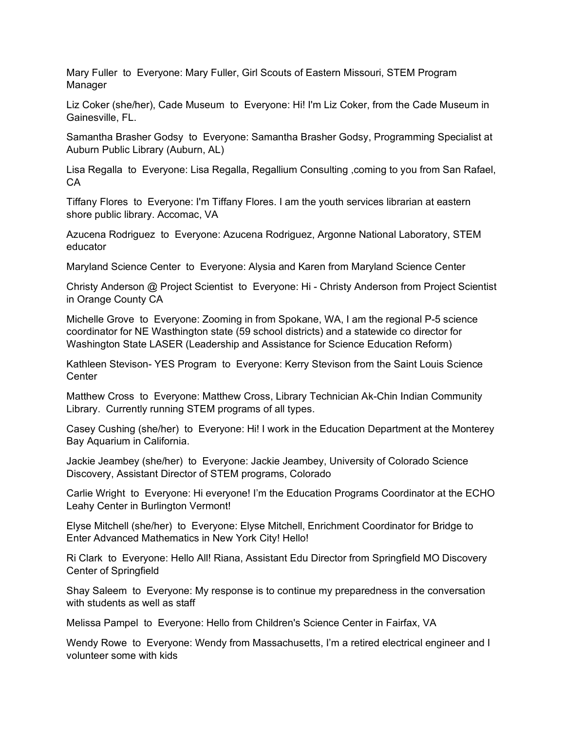Mary Fuller to Everyone: Mary Fuller, Girl Scouts of Eastern Missouri, STEM Program Manager

Liz Coker (she/her), Cade Museum to Everyone: Hi! I'm Liz Coker, from the Cade Museum in Gainesville, FL.

Samantha Brasher Godsy to Everyone: Samantha Brasher Godsy, Programming Specialist at Auburn Public Library (Auburn, AL)

Lisa Regalla to Everyone: Lisa Regalla, Regallium Consulting ,coming to you from San Rafael, CA

Tiffany Flores to Everyone: I'm Tiffany Flores. I am the youth services librarian at eastern shore public library. Accomac, VA

Azucena Rodriguez to Everyone: Azucena Rodriguez, Argonne National Laboratory, STEM educator

Maryland Science Center to Everyone: Alysia and Karen from Maryland Science Center

Christy Anderson @ Project Scientist to Everyone: Hi - Christy Anderson from Project Scientist in Orange County CA

Michelle Grove to Everyone: Zooming in from Spokane, WA, I am the regional P-5 science coordinator for NE Wasthington state (59 school districts) and a statewide co director for Washington State LASER (Leadership and Assistance for Science Education Reform)

Kathleen Stevison- YES Program to Everyone: Kerry Stevison from the Saint Louis Science **Center** 

Matthew Cross to Everyone: Matthew Cross, Library Technician Ak-Chin Indian Community Library. Currently running STEM programs of all types.

Casey Cushing (she/her) to Everyone: Hi! I work in the Education Department at the Monterey Bay Aquarium in California.

Jackie Jeambey (she/her) to Everyone: Jackie Jeambey, University of Colorado Science Discovery, Assistant Director of STEM programs, Colorado

Carlie Wright to Everyone: Hi everyone! I'm the Education Programs Coordinator at the ECHO Leahy Center in Burlington Vermont!

Elyse Mitchell (she/her) to Everyone: Elyse Mitchell, Enrichment Coordinator for Bridge to Enter Advanced Mathematics in New York City! Hello!

Ri Clark to Everyone: Hello All! Riana, Assistant Edu Director from Springfield MO Discovery Center of Springfield

Shay Saleem to Everyone: My response is to continue my preparedness in the conversation with students as well as staff

Melissa Pampel to Everyone: Hello from Children's Science Center in Fairfax, VA

Wendy Rowe to Everyone: Wendy from Massachusetts, I'm a retired electrical engineer and I volunteer some with kids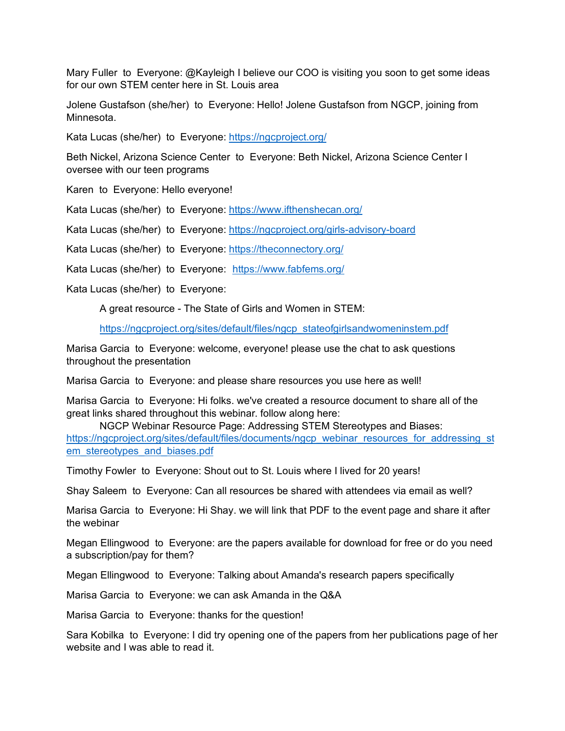Mary Fuller to Everyone: @Kayleigh I believe our COO is visiting you soon to get some ideas for our own STEM center here in St. Louis area

Jolene Gustafson (she/her) to Everyone: Hello! Jolene Gustafson from NGCP, joining from Minnesota.

Kata Lucas (she/her) to Everyone: <https://ngcproject.org/>

Beth Nickel, Arizona Science Center to Everyone: Beth Nickel, Arizona Science Center I oversee with our teen programs

Karen to Everyone: Hello everyone!

Kata Lucas (she/her) to Everyone: <https://www.ifthenshecan.org/>

Kata Lucas (she/her) to Everyone: <https://ngcproject.org/girls-advisory-board>

Kata Lucas (she/her) to Everyone: <https://theconnectory.org/>

Kata Lucas (she/her) to Everyone: <https://www.fabfems.org/>

Kata Lucas (she/her) to Everyone:

A great resource - The State of Girls and Women in STEM:

[https://ngcproject.org/sites/default/files/ngcp\\_stateofgirlsandwomeninstem.pdf](https://ngcproject.org/sites/default/files/ngcp_stateofgirlsandwomeninstem.pdf)

Marisa Garcia to Everyone: welcome, everyone! please use the chat to ask questions throughout the presentation

Marisa Garcia to Everyone: and please share resources you use here as well!

Marisa Garcia to Everyone: Hi folks. we've created a resource document to share all of the great links shared throughout this webinar. follow along here:

NGCP Webinar Resource Page: Addressing STEM Stereotypes and Biases: [https://ngcproject.org/sites/default/files/documents/ngcp\\_webinar\\_resources\\_for\\_addressing\\_st](https://ngcproject.org/sites/default/files/documents/ngcp_webinar_resources_for_addressing_stem_stereotypes_and_biases.pdf) [em\\_stereotypes\\_and\\_biases.pdf](https://ngcproject.org/sites/default/files/documents/ngcp_webinar_resources_for_addressing_stem_stereotypes_and_biases.pdf)

Timothy Fowler to Everyone: Shout out to St. Louis where I lived for 20 years!

Shay Saleem to Everyone: Can all resources be shared with attendees via email as well?

Marisa Garcia to Everyone: Hi Shay. we will link that PDF to the event page and share it after the webinar

Megan Ellingwood to Everyone: are the papers available for download for free or do you need a subscription/pay for them?

Megan Ellingwood to Everyone: Talking about Amanda's research papers specifically

Marisa Garcia to Everyone: we can ask Amanda in the Q&A

Marisa Garcia to Everyone: thanks for the question!

Sara Kobilka to Everyone: I did try opening one of the papers from her publications page of her website and I was able to read it.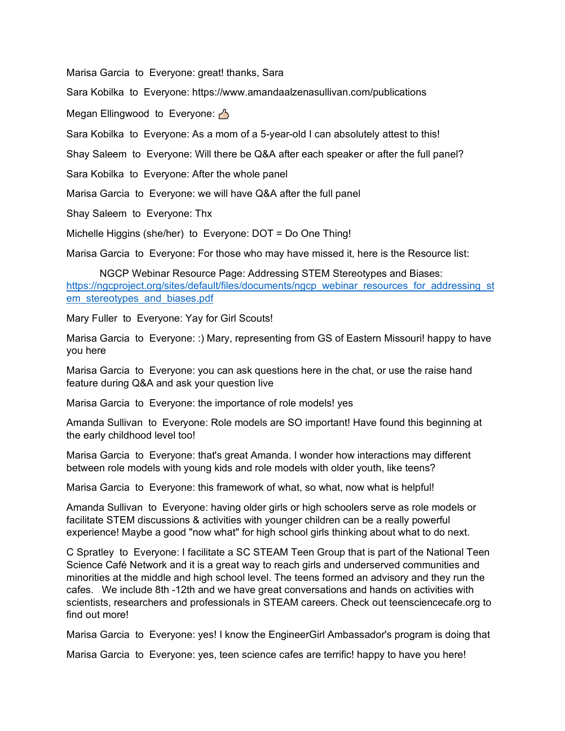Marisa Garcia to Everyone: great! thanks, Sara

Sara Kobilka to Everyone: https://www.amandaalzenasullivan.com/publications

Megan Ellingwood to Everyone:  $\triangle$ 

Sara Kobilka to Everyone: As a mom of a 5-year-old I can absolutely attest to this!

Shay Saleem to Everyone: Will there be Q&A after each speaker or after the full panel?

Sara Kobilka to Everyone: After the whole panel

Marisa Garcia to Everyone: we will have Q&A after the full panel

Shay Saleem to Everyone: Thx

Michelle Higgins (she/her) to Everyone: DOT = Do One Thing!

Marisa Garcia to Everyone: For those who may have missed it, here is the Resource list:

NGCP Webinar Resource Page: Addressing STEM Stereotypes and Biases: [https://ngcproject.org/sites/default/files/documents/ngcp\\_webinar\\_resources\\_for\\_addressing\\_st](https://ngcproject.org/sites/default/files/documents/ngcp_webinar_resources_for_addressing_stem_stereotypes_and_biases.pdf) [em\\_stereotypes\\_and\\_biases.pdf](https://ngcproject.org/sites/default/files/documents/ngcp_webinar_resources_for_addressing_stem_stereotypes_and_biases.pdf)

Mary Fuller to Everyone: Yay for Girl Scouts!

Marisa Garcia to Everyone: :) Mary, representing from GS of Eastern Missouri! happy to have you here

Marisa Garcia to Everyone: you can ask questions here in the chat, or use the raise hand feature during Q&A and ask your question live

Marisa Garcia to Everyone: the importance of role models! yes

Amanda Sullivan to Everyone: Role models are SO important! Have found this beginning at the early childhood level too!

Marisa Garcia to Everyone: that's great Amanda. I wonder how interactions may different between role models with young kids and role models with older youth, like teens?

Marisa Garcia to Everyone: this framework of what, so what, now what is helpful!

Amanda Sullivan to Everyone: having older girls or high schoolers serve as role models or facilitate STEM discussions & activities with younger children can be a really powerful experience! Maybe a good "now what" for high school girls thinking about what to do next.

C Spratley to Everyone: I facilitate a SC STEAM Teen Group that is part of the National Teen Science Café Network and it is a great way to reach girls and underserved communities and minorities at the middle and high school level. The teens formed an advisory and they run the cafes. We include 8th -12th and we have great conversations and hands on activities with scientists, researchers and professionals in STEAM careers. Check out teensciencecafe.org to find out more!

Marisa Garcia to Everyone: yes! I know the EngineerGirl Ambassador's program is doing that

Marisa Garcia to Everyone: yes, teen science cafes are terrific! happy to have you here!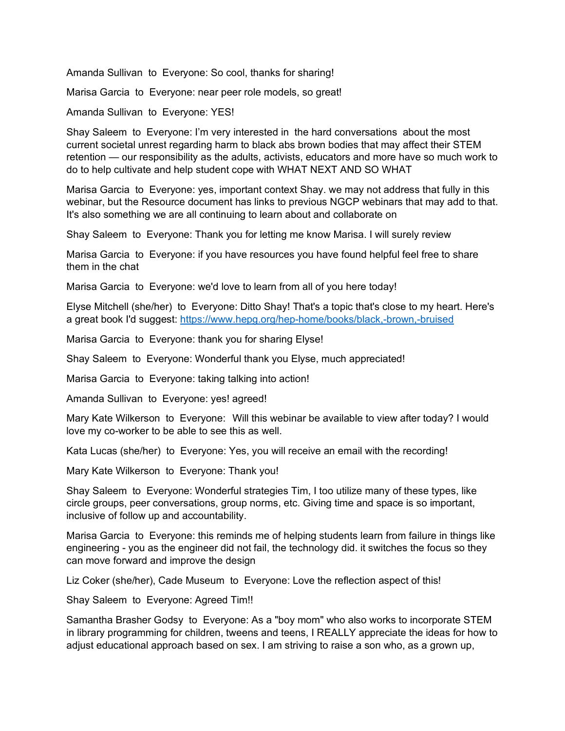Amanda Sullivan to Everyone: So cool, thanks for sharing!

Marisa Garcia to Everyone: near peer role models, so great!

Amanda Sullivan to Everyone: YES!

Shay Saleem to Everyone: I'm very interested in the hard conversations about the most current societal unrest regarding harm to black abs brown bodies that may affect their STEM retention — our responsibility as the adults, activists, educators and more have so much work to do to help cultivate and help student cope with WHAT NEXT AND SO WHAT

Marisa Garcia to Everyone: yes, important context Shay. we may not address that fully in this webinar, but the Resource document has links to previous NGCP webinars that may add to that. It's also something we are all continuing to learn about and collaborate on

Shay Saleem to Everyone: Thank you for letting me know Marisa. I will surely review

Marisa Garcia to Everyone: if you have resources you have found helpful feel free to share them in the chat

Marisa Garcia to Everyone: we'd love to learn from all of you here today!

Elyse Mitchell (she/her) to Everyone: Ditto Shay! That's a topic that's close to my heart. Here's a great book I'd suggest:<https://www.hepg.org/hep-home/books/black,-brown,-bruised>

Marisa Garcia to Everyone: thank you for sharing Elyse!

Shay Saleem to Everyone: Wonderful thank you Elyse, much appreciated!

Marisa Garcia to Everyone: taking talking into action!

Amanda Sullivan to Everyone: yes! agreed!

Mary Kate Wilkerson to Everyone: Will this webinar be available to view after today? I would love my co-worker to be able to see this as well.

Kata Lucas (she/her) to Everyone: Yes, you will receive an email with the recording!

Mary Kate Wilkerson to Everyone: Thank you!

Shay Saleem to Everyone: Wonderful strategies Tim, I too utilize many of these types, like circle groups, peer conversations, group norms, etc. Giving time and space is so important, inclusive of follow up and accountability.

Marisa Garcia to Everyone: this reminds me of helping students learn from failure in things like engineering - you as the engineer did not fail, the technology did. it switches the focus so they can move forward and improve the design

Liz Coker (she/her), Cade Museum to Everyone: Love the reflection aspect of this!

Shay Saleem to Everyone: Agreed Tim!!

Samantha Brasher Godsy to Everyone: As a "boy mom" who also works to incorporate STEM in library programming for children, tweens and teens, I REALLY appreciate the ideas for how to adjust educational approach based on sex. I am striving to raise a son who, as a grown up,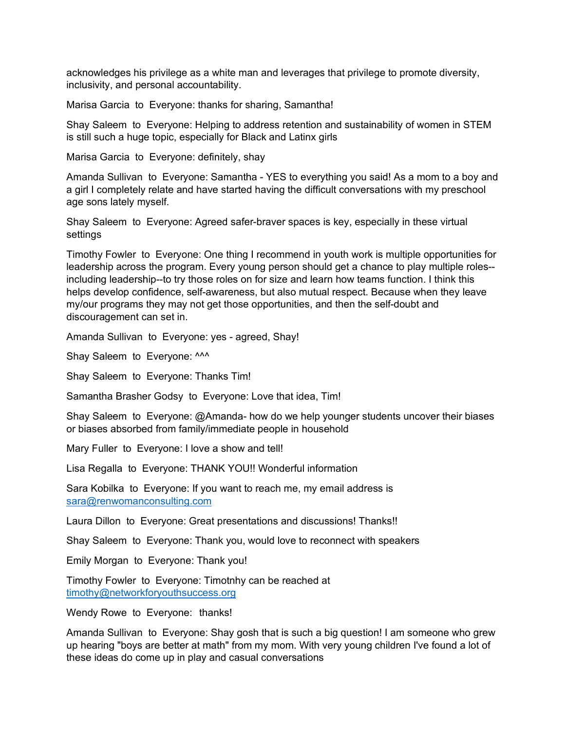acknowledges his privilege as a white man and leverages that privilege to promote diversity, inclusivity, and personal accountability.

Marisa Garcia to Everyone: thanks for sharing, Samantha!

Shay Saleem to Everyone: Helping to address retention and sustainability of women in STEM is still such a huge topic, especially for Black and Latinx girls

Marisa Garcia to Everyone: definitely, shay

Amanda Sullivan to Everyone: Samantha - YES to everything you said! As a mom to a boy and a girl I completely relate and have started having the difficult conversations with my preschool age sons lately myself.

Shay Saleem to Everyone: Agreed safer-braver spaces is key, especially in these virtual settings

Timothy Fowler to Everyone: One thing I recommend in youth work is multiple opportunities for leadership across the program. Every young person should get a chance to play multiple roles- including leadership--to try those roles on for size and learn how teams function. I think this helps develop confidence, self-awareness, but also mutual respect. Because when they leave my/our programs they may not get those opportunities, and then the self-doubt and discouragement can set in.

Amanda Sullivan to Everyone: yes - agreed, Shay!

Shay Saleem to Everyone: ^^^

Shay Saleem to Everyone: Thanks Tim!

Samantha Brasher Godsy to Everyone: Love that idea, Tim!

Shay Saleem to Everyone: @Amanda- how do we help younger students uncover their biases or biases absorbed from family/immediate people in household

Mary Fuller to Everyone: I love a show and tell!

Lisa Regalla to Everyone: THANK YOU!! Wonderful information

Sara Kobilka to Everyone: If you want to reach me, my email address is [sara@renwomanconsulting.com](mailto:sara@renwomanconsulting.com)

Laura Dillon to Everyone: Great presentations and discussions! Thanks!!

Shay Saleem to Everyone: Thank you, would love to reconnect with speakers

Emily Morgan to Everyone: Thank you!

Timothy Fowler to Everyone: Timotnhy can be reached at [timothy@networkforyouthsuccess.org](mailto:timothy@networkforyouthsuccess.org)

Wendy Rowe to Everyone: thanks!

Amanda Sullivan to Everyone: Shay gosh that is such a big question! I am someone who grew up hearing "boys are better at math" from my mom. With very young children I've found a lot of these ideas do come up in play and casual conversations